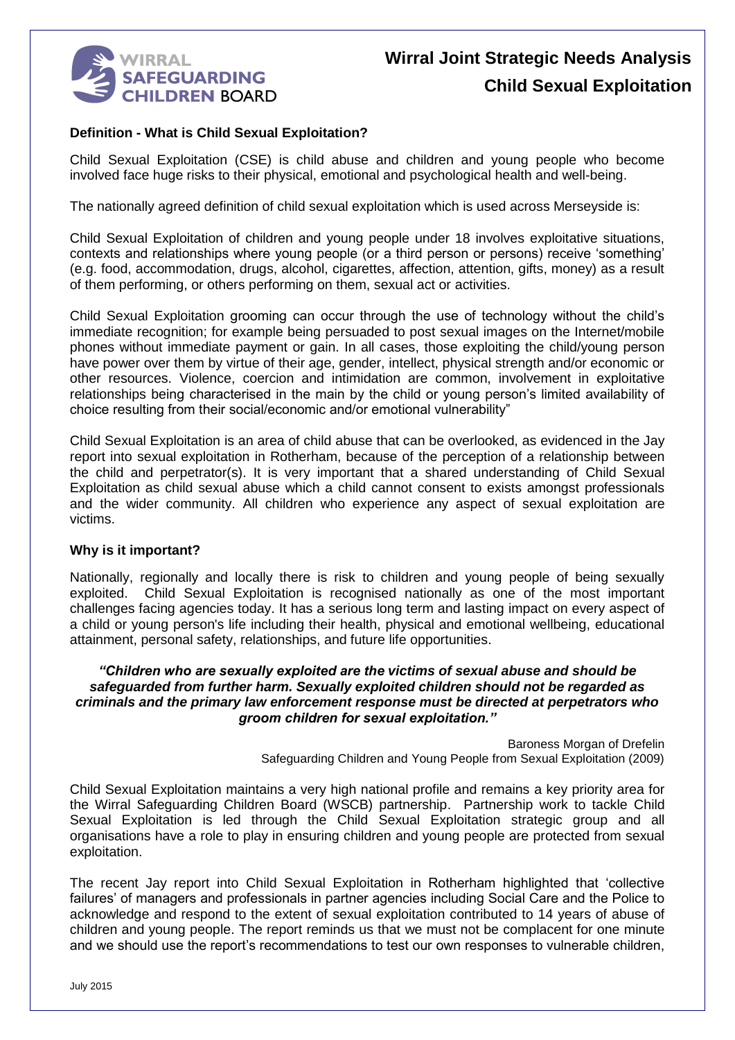

#### **Definition - What is Child Sexual Exploitation?**

Child Sexual Exploitation (CSE) is child abuse and children and young people who become involved face huge risks to their physical, emotional and psychological health and well-being.

The nationally agreed definition of child sexual exploitation which is used across Merseyside is:

Child Sexual Exploitation of children and young people under 18 involves exploitative situations, contexts and relationships where young people (or a third person or persons) receive 'something' (e.g. food, accommodation, drugs, alcohol, cigarettes, affection, attention, gifts, money) as a result of them performing, or others performing on them, sexual act or activities.

Child Sexual Exploitation grooming can occur through the use of technology without the child's immediate recognition; for example being persuaded to post sexual images on the Internet/mobile phones without immediate payment or gain. In all cases, those exploiting the child/young person have power over them by virtue of their age, gender, intellect, physical strength and/or economic or other resources. Violence, coercion and intimidation are common, involvement in exploitative relationships being characterised in the main by the child or young person's limited availability of choice resulting from their social/economic and/or emotional vulnerability"

Child Sexual Exploitation is an area of child abuse that can be overlooked, as evidenced in the Jay report into sexual exploitation in Rotherham, because of the perception of a relationship between the child and perpetrator(s). It is very important that a shared understanding of Child Sexual Exploitation as child sexual abuse which a child cannot consent to exists amongst professionals and the wider community. All children who experience any aspect of sexual exploitation are victims.

#### **Why is it important?**

Nationally, regionally and locally there is risk to children and young people of being sexually exploited. Child Sexual Exploitation is recognised nationally as one of the most important challenges facing agencies today. It has a serious long term and lasting impact on every aspect of a child or young person's life including their health, physical and emotional wellbeing, educational attainment, personal safety, relationships, and future life opportunities.

#### *"Children who are sexually exploited are the victims of sexual abuse and should be safeguarded from further harm. Sexually exploited children should not be regarded as criminals and the primary law enforcement response must be directed at perpetrators who groom children for sexual exploitation."*

Baroness Morgan of Drefelin Safeguarding Children and Young People from Sexual Exploitation (2009)

Child Sexual Exploitation maintains a very high national profile and remains a key priority area for the Wirral Safeguarding Children Board (WSCB) partnership. Partnership work to tackle Child Sexual Exploitation is led through the Child Sexual Exploitation strategic group and all organisations have a role to play in ensuring children and young people are protected from sexual exploitation.

The recent Jay report into Child Sexual Exploitation in Rotherham highlighted that 'collective failures' of managers and professionals in partner agencies including Social Care and the Police to acknowledge and respond to the extent of sexual exploitation contributed to 14 years of abuse of children and young people. The report reminds us that we must not be complacent for one minute and we should use the report's recommendations to test our own responses to vulnerable children,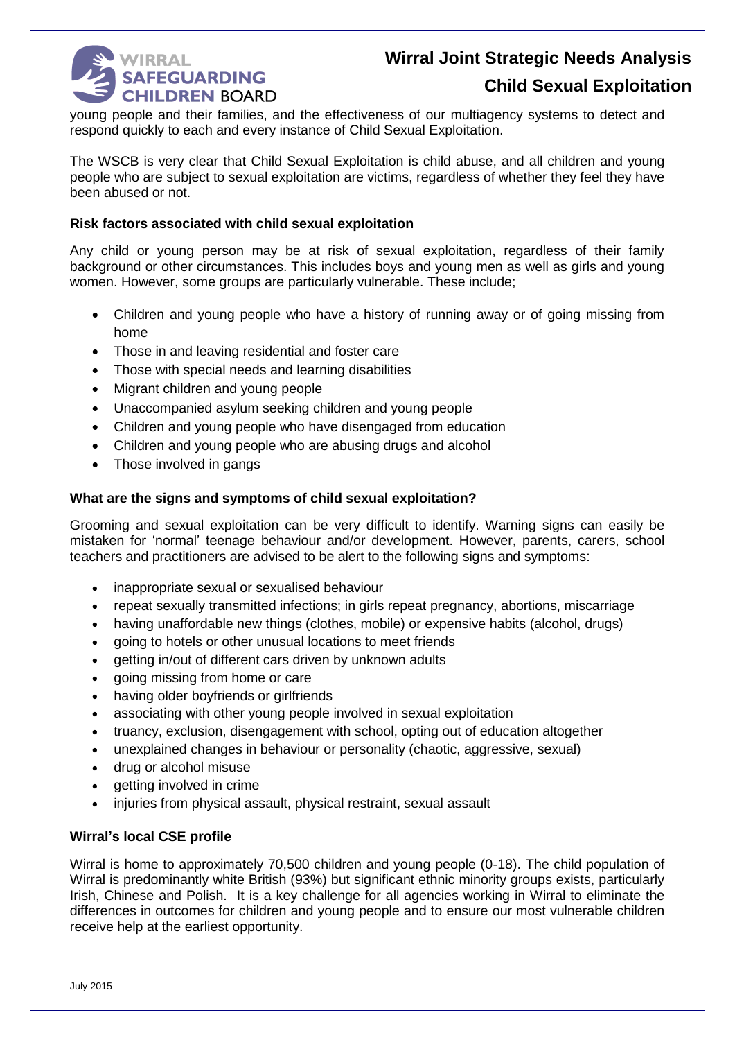

### **Child Sexual Exploitation**

young people and their families, and the effectiveness of our multiagency systems to detect and respond quickly to each and every instance of Child Sexual Exploitation.

The WSCB is very clear that Child Sexual Exploitation is child abuse, and all children and young people who are subject to sexual exploitation are victims, regardless of whether they feel they have been abused or not.

#### **Risk factors associated with child sexual exploitation**

Any child or young person may be at risk of sexual exploitation, regardless of their family background or other circumstances. This includes boys and young men as well as girls and young women. However, some groups are particularly vulnerable. These include;

- Children and young people who have a history of running away or of going missing from home
- Those in and leaving residential and foster care
- Those with special needs and learning disabilities
- Migrant children and young people
- Unaccompanied asylum seeking children and young people
- Children and young people who have disengaged from education
- Children and young people who are abusing drugs and alcohol
- Those involved in gangs

#### **What are the signs and symptoms of child sexual exploitation?**

Grooming and sexual exploitation can be very difficult to identify. Warning signs can easily be mistaken for 'normal' teenage behaviour and/or development. However, parents, carers, school teachers and practitioners are advised to be alert to the following signs and symptoms:

- inappropriate sexual or sexualised behaviour
- repeat sexually transmitted infections; in girls repeat pregnancy, abortions, miscarriage
- having unaffordable new things (clothes, mobile) or expensive habits (alcohol, drugs)
- going to hotels or other unusual locations to meet friends
- aetting in/out of different cars driven by unknown adults
- going missing from home or care
- having older boyfriends or girlfriends
- associating with other young people involved in sexual exploitation
- truancy, exclusion, disengagement with school, opting out of education altogether
- unexplained changes in behaviour or personality (chaotic, aggressive, sexual)
- drug or alcohol misuse
- getting involved in crime
- injuries from physical assault, physical restraint, sexual assault

#### **Wirral's local CSE profile**

Wirral is home to approximately 70,500 children and young people (0-18). The child population of Wirral is predominantly white British (93%) but significant ethnic minority groups exists, particularly Irish, Chinese and Polish. It is a key challenge for all agencies working in Wirral to eliminate the differences in outcomes for children and young people and to ensure our most vulnerable children receive help at the earliest opportunity.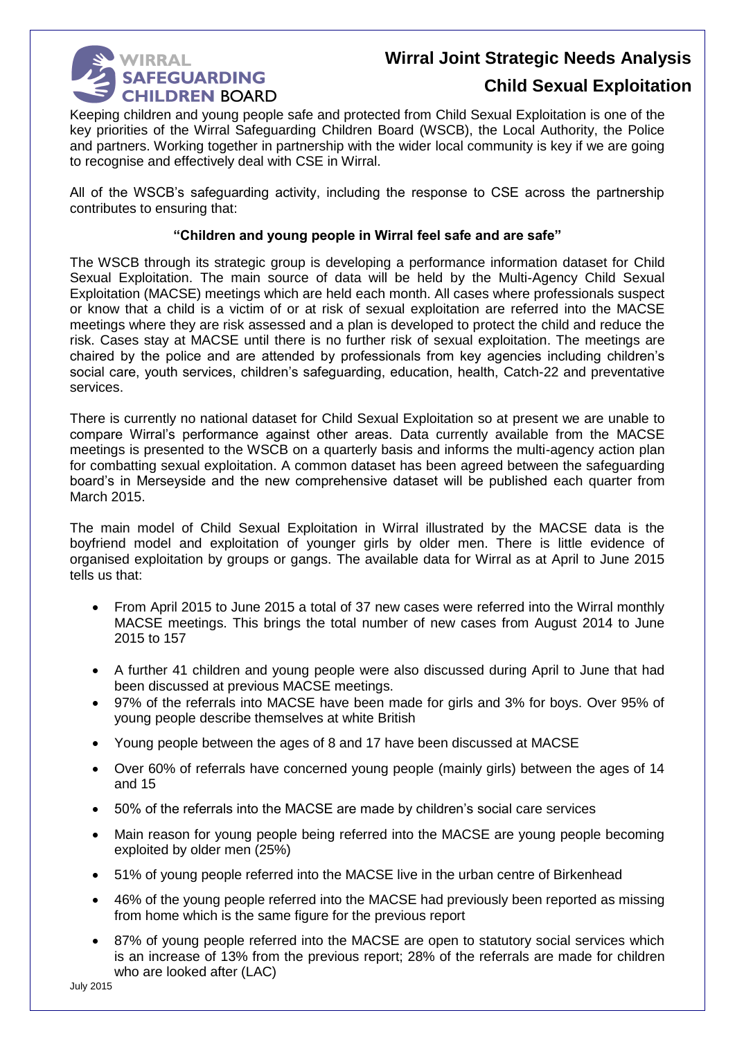

### **Child Sexual Exploitation**

Keeping children and young people safe and protected from Child Sexual Exploitation is one of the key priorities of the Wirral Safeguarding Children Board (WSCB), the Local Authority, the Police and partners. Working together in partnership with the wider local community is key if we are going to recognise and effectively deal with CSE in Wirral.

All of the WSCB's safeguarding activity, including the response to CSE across the partnership contributes to ensuring that:

#### **"Children and young people in Wirral feel safe and are safe"**

The WSCB through its strategic group is developing a performance information dataset for Child Sexual Exploitation. The main source of data will be held by the Multi-Agency Child Sexual Exploitation (MACSE) meetings which are held each month. All cases where professionals suspect or know that a child is a victim of or at risk of sexual exploitation are referred into the MACSE meetings where they are risk assessed and a plan is developed to protect the child and reduce the risk. Cases stay at MACSE until there is no further risk of sexual exploitation. The meetings are chaired by the police and are attended by professionals from key agencies including children's social care, youth services, children's safeguarding, education, health, Catch-22 and preventative services.

There is currently no national dataset for Child Sexual Exploitation so at present we are unable to compare Wirral's performance against other areas. Data currently available from the MACSE meetings is presented to the WSCB on a quarterly basis and informs the multi-agency action plan for combatting sexual exploitation. A common dataset has been agreed between the safeguarding board's in Merseyside and the new comprehensive dataset will be published each quarter from March 2015.

The main model of Child Sexual Exploitation in Wirral illustrated by the MACSE data is the boyfriend model and exploitation of younger girls by older men. There is little evidence of organised exploitation by groups or gangs. The available data for Wirral as at April to June 2015 tells us that:

- From April 2015 to June 2015 a total of 37 new cases were referred into the Wirral monthly MACSE meetings. This brings the total number of new cases from August 2014 to June 2015 to 157
- A further 41 children and young people were also discussed during April to June that had been discussed at previous MACSE meetings.
- 97% of the referrals into MACSE have been made for girls and 3% for boys. Over 95% of young people describe themselves at white British
- Young people between the ages of 8 and 17 have been discussed at MACSE
- Over 60% of referrals have concerned young people (mainly girls) between the ages of 14 and 15
- 50% of the referrals into the MACSE are made by children's social care services
- Main reason for young people being referred into the MACSE are young people becoming exploited by older men (25%)
- 51% of young people referred into the MACSE live in the urban centre of Birkenhead
- 46% of the young people referred into the MACSE had previously been reported as missing from home which is the same figure for the previous report
- 87% of young people referred into the MACSE are open to statutory social services which is an increase of 13% from the previous report; 28% of the referrals are made for children who are looked after (LAC)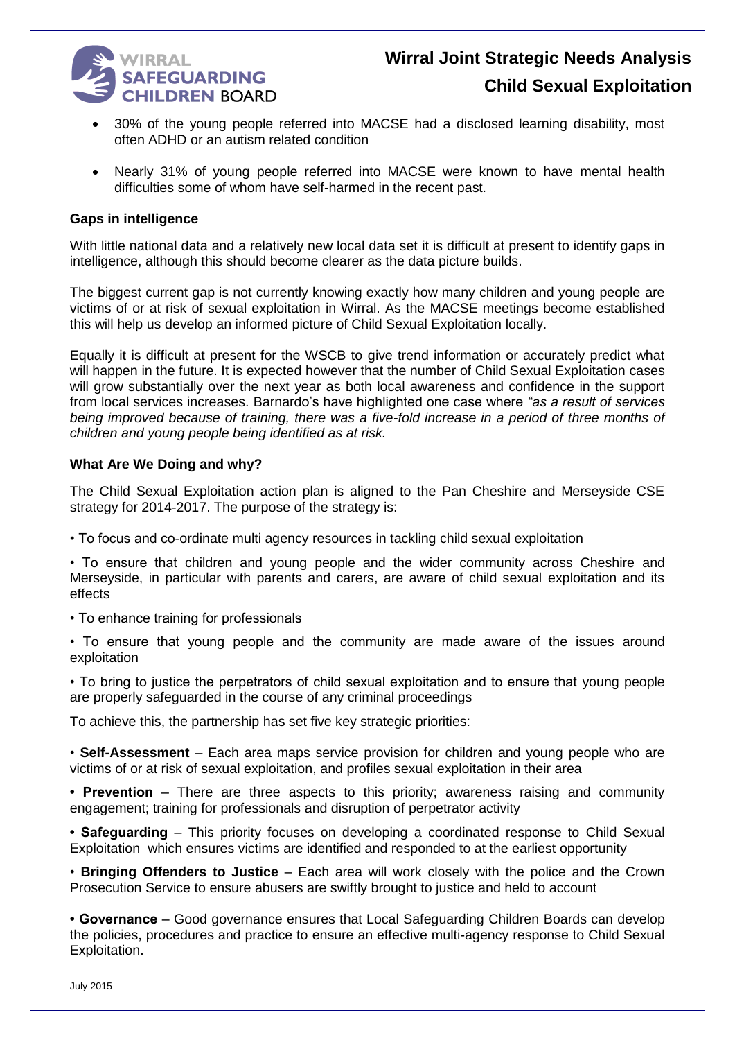

- 30% of the young people referred into MACSE had a disclosed learning disability, most often ADHD or an autism related condition
- Nearly 31% of young people referred into MACSE were known to have mental health difficulties some of whom have self-harmed in the recent past.

#### **Gaps in intelligence**

With little national data and a relatively new local data set it is difficult at present to identify gaps in intelligence, although this should become clearer as the data picture builds.

The biggest current gap is not currently knowing exactly how many children and young people are victims of or at risk of sexual exploitation in Wirral. As the MACSE meetings become established this will help us develop an informed picture of Child Sexual Exploitation locally.

Equally it is difficult at present for the WSCB to give trend information or accurately predict what will happen in the future. It is expected however that the number of Child Sexual Exploitation cases will grow substantially over the next year as both local awareness and confidence in the support from local services increases. Barnardo's have highlighted one case where *"as a result of services being improved because of training, there was a five-fold increase in a period of three months of children and young people being identified as at risk.*

#### **What Are We Doing and why?**

The Child Sexual Exploitation action plan is aligned to the Pan Cheshire and Merseyside CSE strategy for 2014-2017. The purpose of the strategy is:

• To focus and co-ordinate multi agency resources in tackling child sexual exploitation

• To ensure that children and young people and the wider community across Cheshire and Merseyside, in particular with parents and carers, are aware of child sexual exploitation and its effects

• To enhance training for professionals

• To ensure that young people and the community are made aware of the issues around exploitation

• To bring to justice the perpetrators of child sexual exploitation and to ensure that young people are properly safeguarded in the course of any criminal proceedings

To achieve this, the partnership has set five key strategic priorities:

• **Self-Assessment** – Each area maps service provision for children and young people who are victims of or at risk of sexual exploitation, and profiles sexual exploitation in their area

**• Prevention** – There are three aspects to this priority; awareness raising and community engagement; training for professionals and disruption of perpetrator activity

**• Safeguarding** – This priority focuses on developing a coordinated response to Child Sexual Exploitation which ensures victims are identified and responded to at the earliest opportunity

• **Bringing Offenders to Justice** – Each area will work closely with the police and the Crown Prosecution Service to ensure abusers are swiftly brought to justice and held to account

**• Governance** – Good governance ensures that Local Safeguarding Children Boards can develop the policies, procedures and practice to ensure an effective multi-agency response to Child Sexual Exploitation.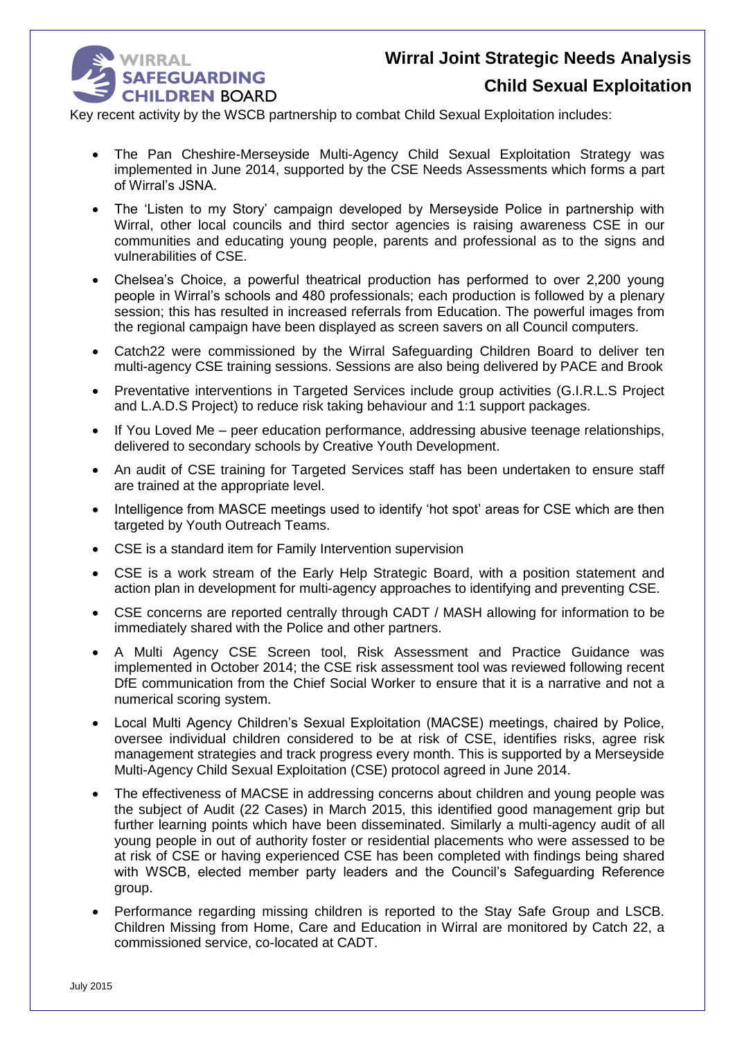

Key recent activity by the WSCB partnership to combat Child Sexual Exploitation includes:

- The Pan Cheshire-Merseyside Multi-Agency Child Sexual Exploitation Strategy was implemented in June 2014, supported by the CSE Needs Assessments which forms a part of Wirral's JSNA.
- The 'Listen to my Story' campaign developed by Merseyside Police in partnership with Wirral, other local councils and third sector agencies is raising awareness CSE in our communities and educating young people, parents and professional as to the signs and vulnerabilities of CSE.
- Chelsea's Choice, a powerful theatrical production has performed to over 2,200 young people in Wirral's schools and 480 professionals; each production is followed by a plenary session; this has resulted in increased referrals from Education. The powerful images from the regional campaign have been displayed as screen savers on all Council computers.
- Catch22 were commissioned by the Wirral Safeguarding Children Board to deliver ten multi-agency CSE training sessions. Sessions are also being delivered by PACE and Brook
- Preventative interventions in Targeted Services include group activities (G.I.R.L.S Project and L.A.D.S Project) to reduce risk taking behaviour and 1:1 support packages.
- If You Loved Me peer education performance, addressing abusive teenage relationships, delivered to secondary schools by Creative Youth Development.
- An audit of CSE training for Targeted Services staff has been undertaken to ensure staff are trained at the appropriate level.
- Intelligence from MASCE meetings used to identify 'hot spot' areas for CSE which are then targeted by Youth Outreach Teams.
- CSE is a standard item for Family Intervention supervision
- CSE is a work stream of the Early Help Strategic Board, with a position statement and action plan in development for multi-agency approaches to identifying and preventing CSE.
- CSE concerns are reported centrally through CADT / MASH allowing for information to be immediately shared with the Police and other partners.
- A Multi Agency CSE Screen tool, Risk Assessment and Practice Guidance was implemented in October 2014; the CSE risk assessment tool was reviewed following recent DfE communication from the Chief Social Worker to ensure that it is a narrative and not a numerical scoring system.
- Local Multi Agency Children's Sexual Exploitation (MACSE) meetings, chaired by Police, oversee individual children considered to be at risk of CSE, identifies risks, agree risk management strategies and track progress every month. This is supported by a Merseyside Multi-Agency Child Sexual Exploitation (CSE) protocol agreed in June 2014.
- The effectiveness of MACSE in addressing concerns about children and young people was the subject of Audit (22 Cases) in March 2015, this identified good management grip but further learning points which have been disseminated. Similarly a multi-agency audit of all young people in out of authority foster or residential placements who were assessed to be at risk of CSE or having experienced CSE has been completed with findings being shared with WSCB, elected member party leaders and the Council's Safeguarding Reference group.
- Performance regarding missing children is reported to the Stay Safe Group and LSCB. Children Missing from Home, Care and Education in Wirral are monitored by Catch 22, a commissioned service, co-located at CADT.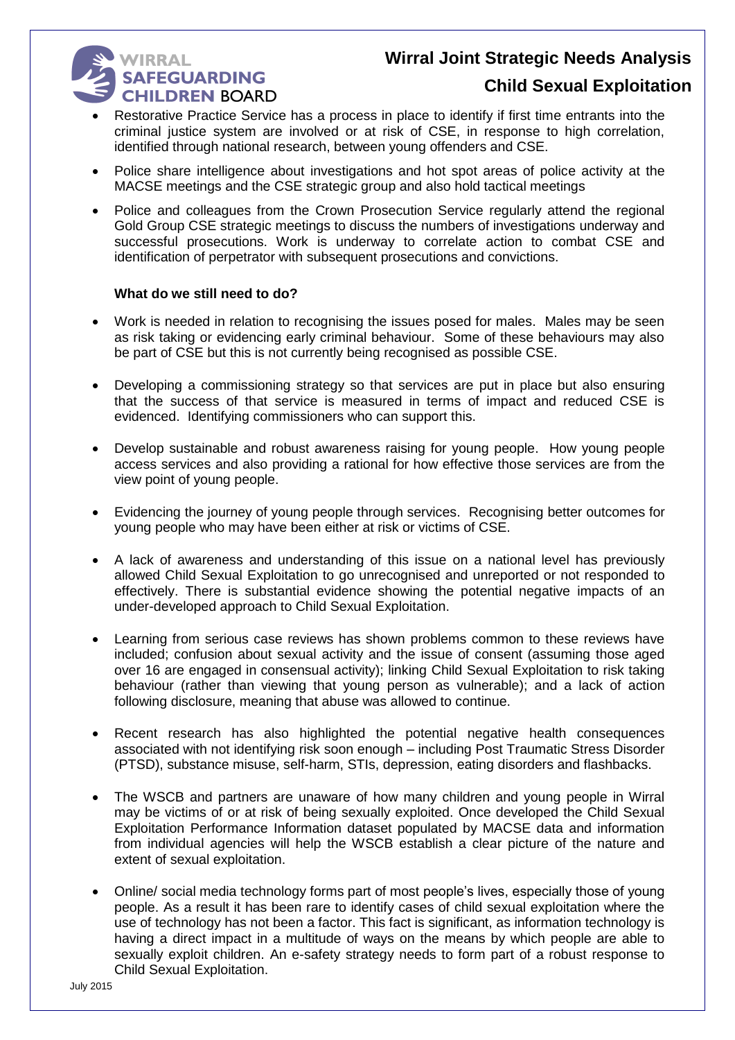### **WIRRAL** SAFEGUARDING **CHILDREN BOARD**

### **Child Sexual Exploitation**

- Restorative Practice Service has a process in place to identify if first time entrants into the criminal justice system are involved or at risk of CSE, in response to high correlation, identified through national research, between young offenders and CSE.
- Police share intelligence about investigations and hot spot areas of police activity at the MACSE meetings and the CSE strategic group and also hold tactical meetings
- Police and colleagues from the Crown Prosecution Service regularly attend the regional Gold Group CSE strategic meetings to discuss the numbers of investigations underway and successful prosecutions. Work is underway to correlate action to combat CSE and identification of perpetrator with subsequent prosecutions and convictions.

#### **What do we still need to do?**

- Work is needed in relation to recognising the issues posed for males. Males may be seen as risk taking or evidencing early criminal behaviour. Some of these behaviours may also be part of CSE but this is not currently being recognised as possible CSE.
- Developing a commissioning strategy so that services are put in place but also ensuring that the success of that service is measured in terms of impact and reduced CSE is evidenced. Identifying commissioners who can support this.
- Develop sustainable and robust awareness raising for young people. How young people access services and also providing a rational for how effective those services are from the view point of young people.
- Evidencing the journey of young people through services. Recognising better outcomes for young people who may have been either at risk or victims of CSE.
- A lack of awareness and understanding of this issue on a national level has previously allowed Child Sexual Exploitation to go unrecognised and unreported or not responded to effectively. There is substantial evidence showing the potential negative impacts of an under-developed approach to Child Sexual Exploitation.
- Learning from serious case reviews has shown problems common to these reviews have included; confusion about sexual activity and the issue of consent (assuming those aged over 16 are engaged in consensual activity); linking Child Sexual Exploitation to risk taking behaviour (rather than viewing that young person as vulnerable); and a lack of action following disclosure, meaning that abuse was allowed to continue.
- Recent research has also highlighted the potential negative health consequences associated with not identifying risk soon enough – including Post Traumatic Stress Disorder (PTSD), substance misuse, self-harm, STIs, depression, eating disorders and flashbacks.
- The WSCB and partners are unaware of how many children and young people in Wirral may be victims of or at risk of being sexually exploited. Once developed the Child Sexual Exploitation Performance Information dataset populated by MACSE data and information from individual agencies will help the WSCB establish a clear picture of the nature and extent of sexual exploitation.
- Online/ social media technology forms part of most people's lives, especially those of young people. As a result it has been rare to identify cases of child sexual exploitation where the use of technology has not been a factor. This fact is significant, as information technology is having a direct impact in a multitude of ways on the means by which people are able to sexually exploit children. An e-safety strategy needs to form part of a robust response to Child Sexual Exploitation.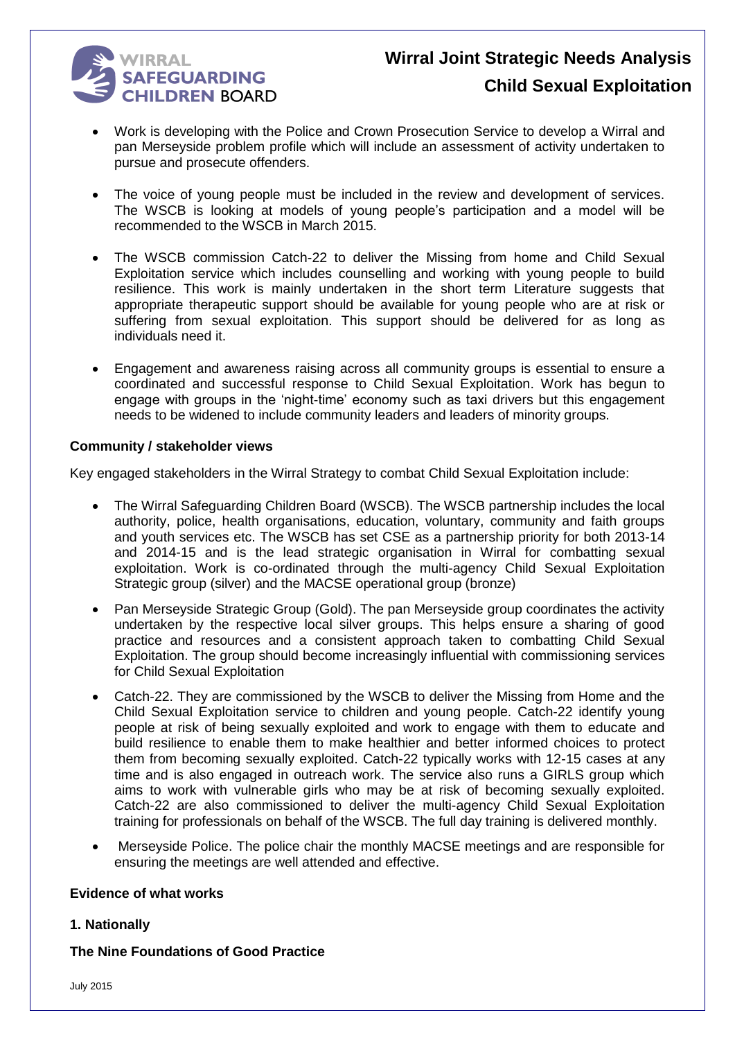

- Work is developing with the Police and Crown Prosecution Service to develop a Wirral and pan Merseyside problem profile which will include an assessment of activity undertaken to pursue and prosecute offenders.
- The voice of young people must be included in the review and development of services. The WSCB is looking at models of young people's participation and a model will be recommended to the WSCB in March 2015.
- The WSCB commission Catch-22 to deliver the Missing from home and Child Sexual Exploitation service which includes counselling and working with young people to build resilience. This work is mainly undertaken in the short term Literature suggests that appropriate therapeutic support should be available for young people who are at risk or suffering from sexual exploitation. This support should be delivered for as long as individuals need it.
- Engagement and awareness raising across all community groups is essential to ensure a coordinated and successful response to Child Sexual Exploitation. Work has begun to engage with groups in the 'night-time' economy such as taxi drivers but this engagement needs to be widened to include community leaders and leaders of minority groups.

#### **Community / stakeholder views**

Key engaged stakeholders in the Wirral Strategy to combat Child Sexual Exploitation include:

- The Wirral Safeguarding Children Board (WSCB). The WSCB partnership includes the local authority, police, health organisations, education, voluntary, community and faith groups and youth services etc. The WSCB has set CSE as a partnership priority for both 2013-14 and 2014-15 and is the lead strategic organisation in Wirral for combatting sexual exploitation. Work is co-ordinated through the multi-agency Child Sexual Exploitation Strategic group (silver) and the MACSE operational group (bronze)
- Pan Merseyside Strategic Group (Gold). The pan Merseyside group coordinates the activity undertaken by the respective local silver groups. This helps ensure a sharing of good practice and resources and a consistent approach taken to combatting Child Sexual Exploitation. The group should become increasingly influential with commissioning services for Child Sexual Exploitation
- Catch-22. They are commissioned by the WSCB to deliver the Missing from Home and the Child Sexual Exploitation service to children and young people. Catch-22 identify young people at risk of being sexually exploited and work to engage with them to educate and build resilience to enable them to make healthier and better informed choices to protect them from becoming sexually exploited. Catch-22 typically works with 12-15 cases at any time and is also engaged in outreach work. The service also runs a GIRLS group which aims to work with vulnerable girls who may be at risk of becoming sexually exploited. Catch-22 are also commissioned to deliver the multi-agency Child Sexual Exploitation training for professionals on behalf of the WSCB. The full day training is delivered monthly.
- Merseyside Police. The police chair the monthly MACSE meetings and are responsible for ensuring the meetings are well attended and effective.

#### **Evidence of what works**

#### **1. Nationally**

#### **The Nine Foundations of Good Practice**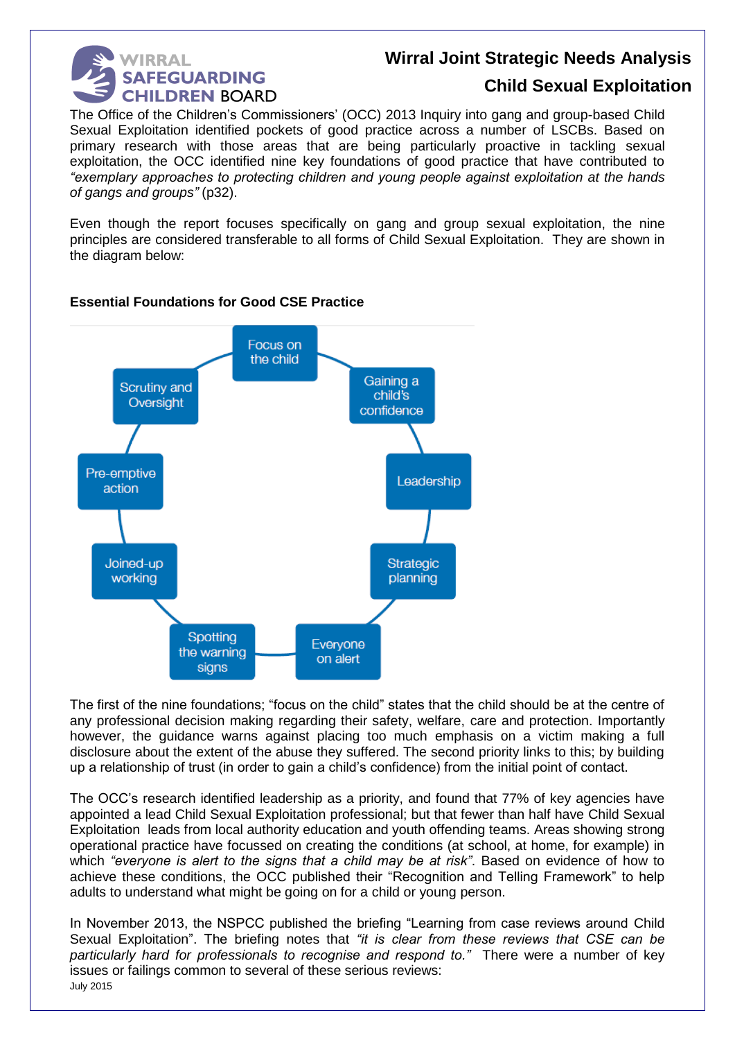

### **Child Sexual Exploitation**

The Office of the Children's Commissioners' (OCC) 2013 Inquiry into gang and group-based Child Sexual Exploitation identified pockets of good practice across a number of LSCBs. Based on primary research with those areas that are being particularly proactive in tackling sexual exploitation, the OCC identified nine key foundations of good practice that have contributed to *"exemplary approaches to protecting children and young people against exploitation at the hands of gangs and groups"* (p32).

Even though the report focuses specifically on gang and group sexual exploitation, the nine principles are considered transferable to all forms of Child Sexual Exploitation. They are shown in the diagram below:



#### **Essential Foundations for Good CSE Practice**

The first of the nine foundations; "focus on the child" states that the child should be at the centre of any professional decision making regarding their safety, welfare, care and protection. Importantly however, the guidance warns against placing too much emphasis on a victim making a full disclosure about the extent of the abuse they suffered. The second priority links to this; by building up a relationship of trust (in order to gain a child's confidence) from the initial point of contact.

The OCC's research identified leadership as a priority, and found that 77% of key agencies have appointed a lead Child Sexual Exploitation professional; but that fewer than half have Child Sexual Exploitation leads from local authority education and youth offending teams. Areas showing strong operational practice have focussed on creating the conditions (at school, at home, for example) in which *"everyone is alert to the signs that a child may be at risk"*. Based on evidence of how to achieve these conditions, the OCC published their "Recognition and Telling Framework" to help adults to understand what might be going on for a child or young person.

July 2015 In November 2013, the NSPCC published the briefing "Learning from case reviews around Child Sexual Exploitation". The briefing notes that *"it is clear from these reviews that CSE can be particularly hard for professionals to recognise and respond to."* There were a number of key issues or failings common to several of these serious reviews: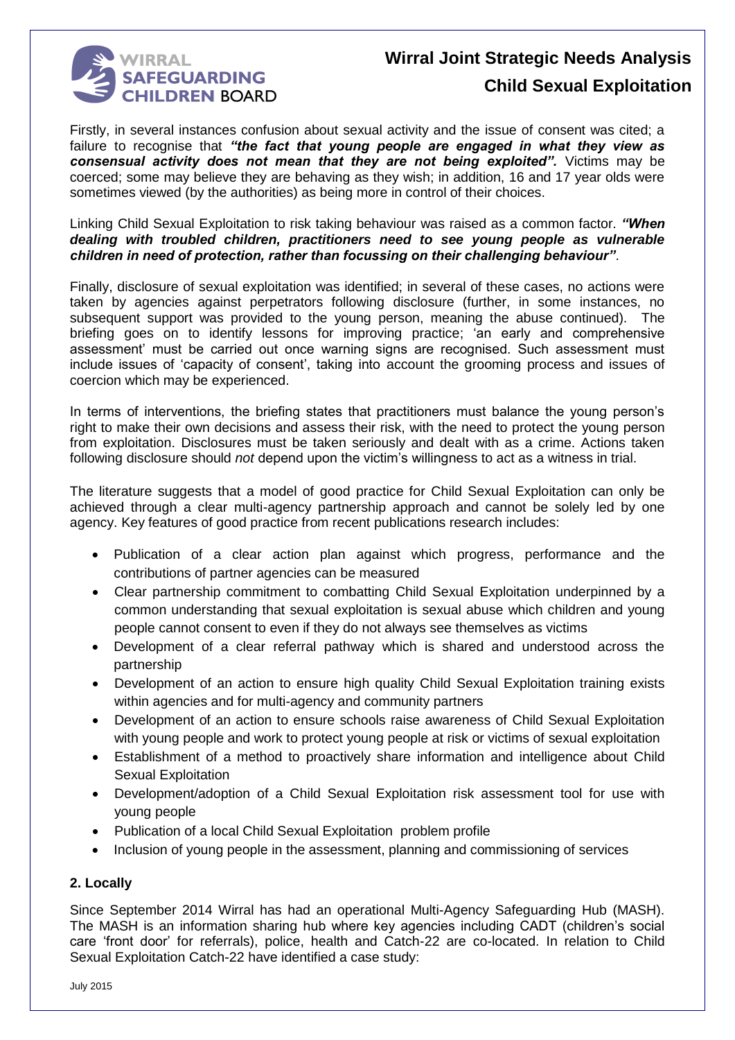

Firstly, in several instances confusion about sexual activity and the issue of consent was cited; a failure to recognise that *"the fact that young people are engaged in what they view as consensual activity does not mean that they are not being exploited".* Victims may be coerced; some may believe they are behaving as they wish; in addition, 16 and 17 year olds were sometimes viewed (by the authorities) as being more in control of their choices.

Linking Child Sexual Exploitation to risk taking behaviour was raised as a common factor. *"When dealing with troubled children, practitioners need to see young people as vulnerable children in need of protection, rather than focussing on their challenging behaviour"*.

Finally, disclosure of sexual exploitation was identified; in several of these cases, no actions were taken by agencies against perpetrators following disclosure (further, in some instances, no subsequent support was provided to the young person, meaning the abuse continued). The briefing goes on to identify lessons for improving practice; 'an early and comprehensive assessment' must be carried out once warning signs are recognised. Such assessment must include issues of 'capacity of consent', taking into account the grooming process and issues of coercion which may be experienced.

In terms of interventions, the briefing states that practitioners must balance the young person's right to make their own decisions and assess their risk, with the need to protect the young person from exploitation. Disclosures must be taken seriously and dealt with as a crime. Actions taken following disclosure should *not* depend upon the victim's willingness to act as a witness in trial.

The literature suggests that a model of good practice for Child Sexual Exploitation can only be achieved through a clear multi-agency partnership approach and cannot be solely led by one agency. Key features of good practice from recent publications research includes:

- Publication of a clear action plan against which progress, performance and the contributions of partner agencies can be measured
- Clear partnership commitment to combatting Child Sexual Exploitation underpinned by a common understanding that sexual exploitation is sexual abuse which children and young people cannot consent to even if they do not always see themselves as victims
- Development of a clear referral pathway which is shared and understood across the partnership
- Development of an action to ensure high quality Child Sexual Exploitation training exists within agencies and for multi-agency and community partners
- Development of an action to ensure schools raise awareness of Child Sexual Exploitation with young people and work to protect young people at risk or victims of sexual exploitation
- Establishment of a method to proactively share information and intelligence about Child Sexual Exploitation
- Development/adoption of a Child Sexual Exploitation risk assessment tool for use with young people
- Publication of a local Child Sexual Exploitation problem profile
- Inclusion of young people in the assessment, planning and commissioning of services

#### **2. Locally**

Since September 2014 Wirral has had an operational Multi-Agency Safeguarding Hub (MASH). The MASH is an information sharing hub where key agencies including CADT (children's social care 'front door' for referrals), police, health and Catch-22 are co-located. In relation to Child Sexual Exploitation Catch-22 have identified a case study: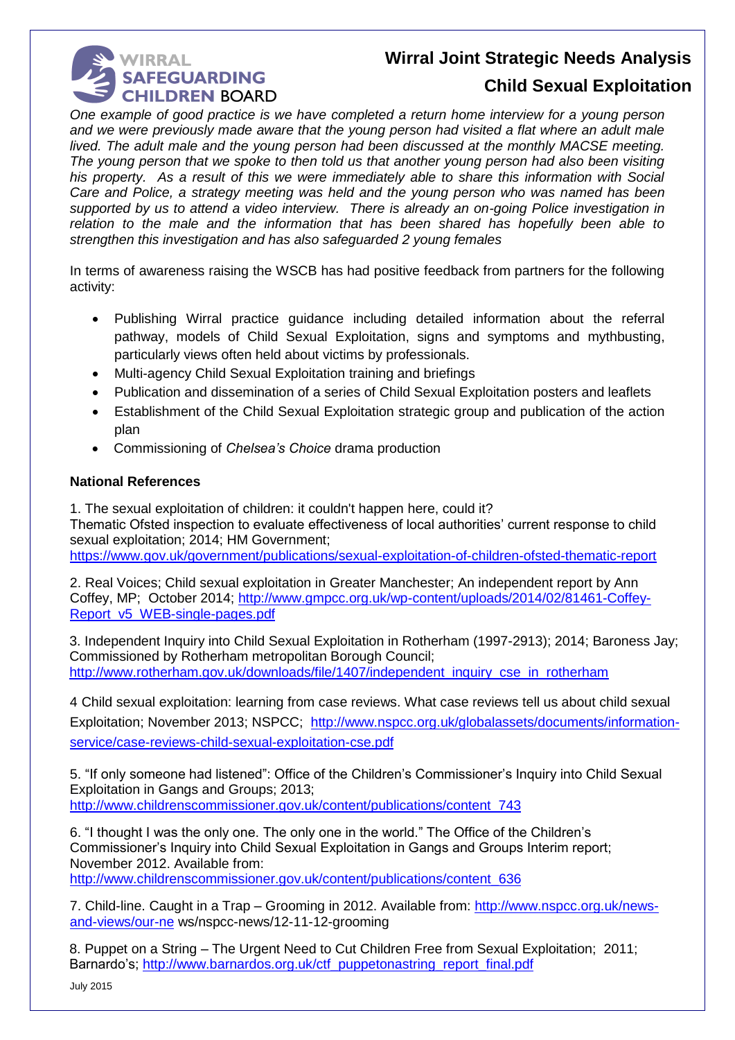### **WIRRAL SAFEGUARDING CHILDREN BOARD**

### **Wirral Joint Strategic Needs Analysis**

### **Child Sexual Exploitation**

*One example of good practice is we have completed a return home interview for a young person and we were previously made aware that the young person had visited a flat where an adult male lived. The adult male and the young person had been discussed at the monthly MACSE meeting. The young person that we spoke to then told us that another young person had also been visiting his property. As a result of this we were immediately able to share this information with Social Care and Police, a strategy meeting was held and the young person who was named has been supported by us to attend a video interview. There is already an on-going Police investigation in relation to the male and the information that has been shared has hopefully been able to strengthen this investigation and has also safeguarded 2 young females*

In terms of awareness raising the WSCB has had positive feedback from partners for the following activity:

- Publishing Wirral practice guidance including detailed information about the referral pathway, models of Child Sexual Exploitation, signs and symptoms and mythbusting, particularly views often held about victims by professionals.
- Multi-agency Child Sexual Exploitation training and briefings
- Publication and dissemination of a series of Child Sexual Exploitation posters and leaflets
- Establishment of the Child Sexual Exploitation strategic group and publication of the action plan
- Commissioning of *Chelsea's Choice* drama production

#### **National References**

1. The sexual exploitation of children: it couldn't happen here, could it? Thematic Ofsted inspection to evaluate effectiveness of local authorities' current response to child sexual exploitation; 2014; HM Government; <https://www.gov.uk/government/publications/sexual-exploitation-of-children-ofsted-thematic-report>

2. Real Voices; Child sexual exploitation in Greater Manchester; An independent report by Ann Coffey, MP; October 2014; [http://www.gmpcc.org.uk/wp-content/uploads/2014/02/81461-Coffey-](http://www.gmpcc.org.uk/wp-content/uploads/2014/02/81461-Coffey-Report_v5_WEB-single-pages.pdf)[Report\\_v5\\_WEB-single-pages.pdf](http://www.gmpcc.org.uk/wp-content/uploads/2014/02/81461-Coffey-Report_v5_WEB-single-pages.pdf)

3. Independent Inquiry into Child Sexual Exploitation in Rotherham (1997-2913); 2014; Baroness Jay; Commissioned by Rotherham metropolitan Borough Council; [http://www.rotherham.gov.uk/downloads/file/1407/independent\\_inquiry\\_cse\\_in\\_rotherham](http://www.rotherham.gov.uk/downloads/file/1407/independent_inquiry_cse_in_rotherham)

4 Child sexual exploitation: learning from case reviews. What case reviews tell us about child sexual Exploitation; November 2013; NSPCC; [http://www.nspcc.org.uk/globalassets/documents/information](http://www.nspcc.org.uk/globalassets/documents/information-service/case-reviews-child-sexual-exploitation-cse.pdf)[service/case-reviews-child-sexual-exploitation-cse.pdf](http://www.nspcc.org.uk/globalassets/documents/information-service/case-reviews-child-sexual-exploitation-cse.pdf)

5. "If only someone had listened": Office of the Children's Commissioner's Inquiry into Child Sexual Exploitation in Gangs and Groups; 2013; [http://www.childrenscommissioner.gov.uk/content/publications/content\\_743](http://www.childrenscommissioner.gov.uk/content/publications/content_743)

6. "I thought I was the only one. The only one in the world." The Office of the Children's Commissioner's Inquiry into Child Sexual Exploitation in Gangs and Groups Interim report; November 2012. Available from: [http://www.childrenscommissioner.gov.uk/content/publications/content\\_636](http://www.childrenscommissioner.gov.uk/content/publications/content_636)

7. Child-line. Caught in a Trap – Grooming in 2012. Available from: [http://www.nspcc.org.uk/news](http://www.nspcc.org.uk/news-and-views/our-ne)[and-views/our-ne](http://www.nspcc.org.uk/news-and-views/our-ne) ws/nspcc-news/12-11-12-grooming

8. Puppet on a String – The Urgent Need to Cut Children Free from Sexual Exploitation; 2011; Barnardo's; [http://www.barnardos.org.uk/ctf\\_puppetonastring\\_report\\_final.pdf](http://www.barnardos.org.uk/ctf_puppetonastring_report_final.pdf)